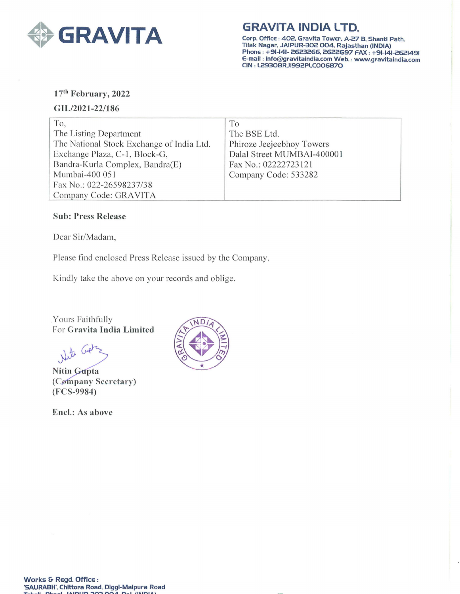

**GRAVITA INDIA LTD.** 

Corp. Office: 402. Gravlta Tower, A-27 B. Shantl Path. TIIak Nagar, JAIPUR-302 004, Rajasthan (INDIA) Phone : +91-141- 2623266. 2622697 FAX: +91-141-2621491 E-mail : lnfo@gravltalndla.com Web. : www.gravltalndla.com CIN : L2930BRJI992PLC006870

# 17<sup>th</sup> February, 2022

### GIL/2021-22/186

| To.                                       | To                         |
|-------------------------------------------|----------------------------|
| The Listing Department                    | The BSE Ltd.               |
| The National Stock Exchange of India Ltd. | Phiroze Jeejeebhoy Towers  |
| Exchange Plaza, C-1, Block-G,             | Dalal Street MUMBAI-400001 |
| Bandra-Kurla Complex, Bandra(E)           | Fax No.: 02222723121       |
| Mumbai-400 051                            | Company Code: 533282       |
| Fax No.: 022-26598237/38                  |                            |
| Company Code: GRAVITA                     |                            |

## Sub: Press Release

Dear Sir/Madam,

Please find enclosed Press Release issued by the Company.

Kindly take the above on your records and oblige.

Yours Faithfully For Gravita India Limited

Nite

**Nitin Gupta** (Cømpany Secretary) (FCS-9984)

Encl.: As above